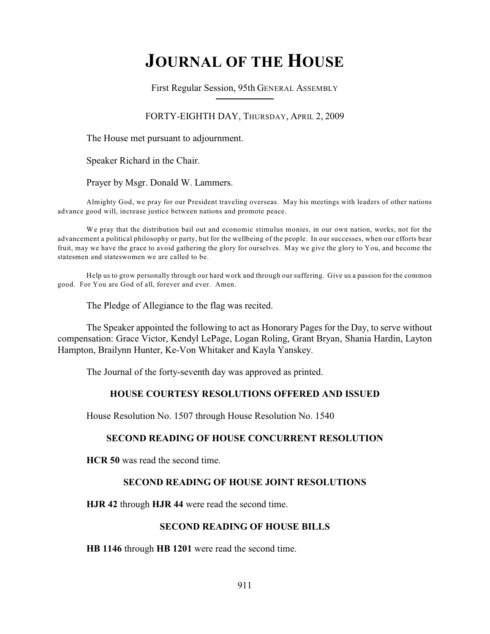# **JOURNAL OF THE HOUSE**

First Regular Session, 95th GENERAL ASSEMBLY

## FORTY-EIGHTH DAY, THURSDAY, APRIL 2, 2009

The House met pursuant to adjournment.

Speaker Richard in the Chair.

Prayer by Msgr. Donald W. Lammers.

Almighty God, we pray for our President traveling overseas. May his meetings with leaders of other nations advance good will, increase justice between nations and promote peace.

We pray that the distribution bail out and economic stimulus monies, in our own nation, works, not for the advancement a political philosophy or party, but for the wellbeing of the people. In our successes, when our efforts bear fruit, may we have the grace to avoid gathering the glory for ourselves. May we give the glory to You, and become the statesmen and stateswomen we are called to be.

Help us to grow personally through our hard work and through our suffering. Give us a passion for the common good. For You are God of all, forever and ever. Amen.

The Pledge of Allegiance to the flag was recited.

The Speaker appointed the following to act as Honorary Pages for the Day, to serve without compensation: Grace Victor, Kendyl LePage, Logan Roling, Grant Bryan, Shania Hardin, Layton Hampton, Brailynn Hunter, Ke-Von Whitaker and Kayla Yanskey.

The Journal of the forty-seventh day was approved as printed.

## **HOUSE COURTESY RESOLUTIONS OFFERED AND ISSUED**

House Resolution No. 1507 through House Resolution No. 1540

#### **SECOND READING OF HOUSE CONCURRENT RESOLUTION**

**HCR 50** was read the second time.

## **SECOND READING OF HOUSE JOINT RESOLUTIONS**

**HJR 42** through **HJR 44** were read the second time.

#### **SECOND READING OF HOUSE BILLS**

**HB 1146** through **HB 1201** were read the second time.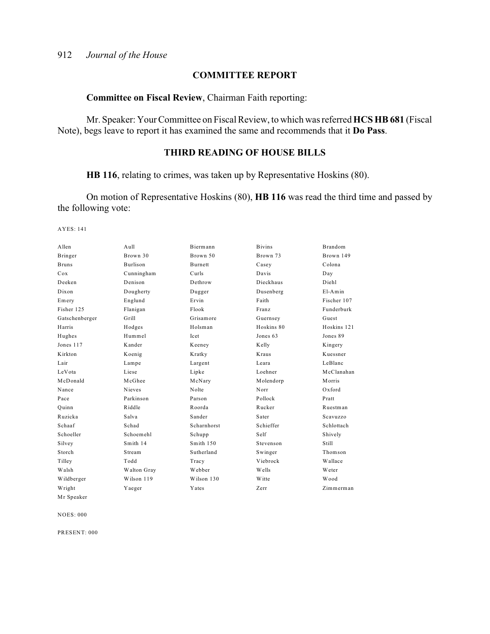# **COMMITTEE REPORT**

#### **Committee on Fiscal Review**, Chairman Faith reporting:

Mr. Speaker: Your Committee on Fiscal Review, to which was referred **HCS HB 681** (Fiscal Note), begs leave to report it has examined the same and recommends that it **Do Pass**.

# **THIRD READING OF HOUSE BILLS**

**HB 116**, relating to crimes, was taken up by Representative Hoskins (80).

On motion of Representative Hoskins (80), **HB 116** was read the third time and passed by the following vote:

AYES: 141

| Allen          | Aull            | Biermann       | <b>Bivins</b> | Brandom       |
|----------------|-----------------|----------------|---------------|---------------|
| Bringer        | Brown 30        | Brown 50       | Brown 73      | Brown 149     |
| <b>Bruns</b>   | <b>Burlison</b> | <b>Burnett</b> | Casey         | Colona        |
| Cox            | Cunningham      | Curls          | Davis         | Day           |
| Deeken         | Denison         | Dethrow        | Dieckhaus     | Diehl         |
| Dixon          | Dougherty       | Dugger         | Dusenberg     | $E1-Amin$     |
| Emery          | Englund         | Ervin          | Faith         | Fischer 107   |
| Fisher 125     | Flanigan        | Flook          | Franz         | Funderburk    |
| Gatschenberger | Grill           | Grisamore      | Guernsey      | Guest         |
| Harris         | Hodges          | Holsman        | Hoskins 80    | Hoskins 121   |
| Hughes         | Hummel          | Icet           | Jones 63      | Jones 89      |
| Jones 117      | Kander          | Keeney         | Kelly         | Kingery       |
| Kirkton        | Koenig          | Kratky         | Kraus         | Kuessner      |
| Lair           | Lampe           | Largent        | Leara         | LeBlanc       |
| LeVota         | Liese           | Lipke          | Loehner       | McClanahan    |
| McDonald       | McGhee          | McNary         | Molendorp     | Morris        |
| Nance          | <b>Nieves</b>   | Nolte          | Norr          | $Ox$ ford     |
| Pace           | Parkinson       | Parson         | Pollock       | Pratt         |
| Ouinn          | Riddle          | Roorda         | Rucker        | Ruestman      |
| Ruzicka        | Salva           | Sander         | Sater         | Scavuzzo      |
| Schaaf         | Schad           | Scharnhorst    | Schieffer     | Schlottach    |
| Schoeller      | Schoemehl       | Schupp         | Self          | Shively       |
| Silvey         | Smith 14        | Smith 150      | Stevenson     | <b>Still</b>  |
| Storch         | Stream          | Sutherland     | Swinger       | Thomson       |
| Tilley         | Todd            | Tracy          | Viebrock      | Wallace       |
| Walsh          | Walton Gray     | Webber         | Wells         | <b>W</b> eter |
| Wildberger     | Wilson 119      | Wilson 130     | <b>Witte</b>  | Wood          |
| Wright         | Yaeger          | Yates          | Zerr          | Zimmerman     |
| Mr Speaker     |                 |                |               |               |

NOES: 000

PRESENT: 000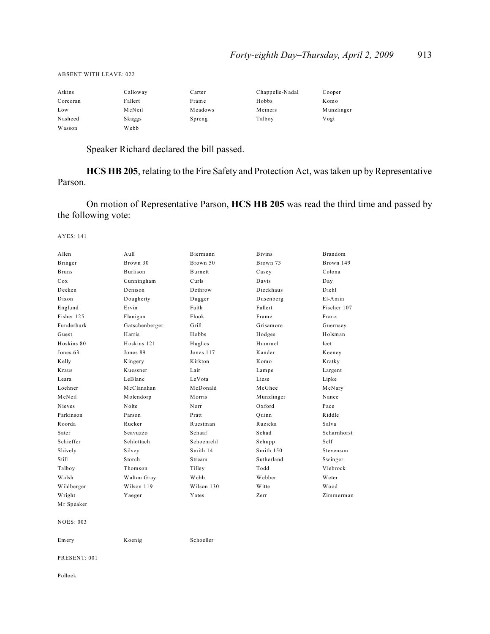#### ABSENT WITH LEAVE: 022

| Atkins   | Calloway | Carter  | Chappelle-Nadal | Cooper     |
|----------|----------|---------|-----------------|------------|
| Corcoran | Fallert  | Frame   | Hobbs           | Komo       |
| Low      | McNeil   | Meadows | Meiners         | Munzlinger |
| Nasheed  | Skaggs   | Spreng  | Talboy          | Vogt       |
| Wasson   | Webb     |         |                 |            |

# Speaker Richard declared the bill passed.

**HCS HB 205**, relating to the Fire Safety and Protection Act, was taken up by Representative Parson.

On motion of Representative Parson, **HCS HB 205** was read the third time and passed by the following vote:

AYES: 141

| Allen            | Aull            | <b>Biermann</b> | <b>Bivins</b> | <b>Brandom</b> |
|------------------|-----------------|-----------------|---------------|----------------|
| Bringer          | Brown 30        | Brown 50        | Brown 73      | Brown 149      |
| <b>Bruns</b>     | <b>Burlison</b> | <b>Burnett</b>  | Casey         | Colona         |
| Cox              | Cunningham      | Curls           | Davis         | Day            |
| Deeken           | Denison         | Dethrow         | Dieckhaus     | Diehl          |
| Dixon            | Dougherty       | Dugger          | Dusenberg     | $E1-Amin$      |
| Englund          | Ervin           | Faith           | Fallert       | Fischer 107    |
| Fisher 125       | Flanigan        | Flook           | Frame         | Franz          |
| Funderburk       | Gatschenberger  | Grill           | Grisamore     | Guernsey       |
| Guest            | Harris          | Hobbs           | Hodges        | Holsman        |
| Hoskins 80       | Hoskins 121     | Hughes          | Hummel        | Icet           |
| Jones 63         | Jones 89        | Jones 117       | Kander        | Keeney         |
| Kelly            | Kingery         | Kirkton         | Komo          | Kratky         |
| Kraus            | Kuessner        | Lair            | Lampe         | Largent        |
| Leara            | LeBlanc         | LeVota          | Liese         | Lipke          |
| Loehner          | McClanahan      | McDonald        | McGhee        | McNary         |
| McNeil           | Molendorp       | Morris          | Munzlinger    | Nance          |
| Nieves           | Nolte           | Norr            | Oxford        | Pace           |
| Parkinson        | Parson          | Pratt           | Quinn         | Riddle         |
| Roorda           | Rucker          | Ruestman        | Ruzicka       | Salva          |
| Sater            | Scavuzzo        | Schaaf          | Schad         | Scharnhorst    |
| Schieffer        | Schlottach      | Schoemehl       | Schupp        | Self           |
| Shively          | Silvey          | Smith 14        | Smith 150     | Stevenson      |
| Still            | Storch          | Stream          | Sutherland    | Swinger        |
| Talboy           | Thomson         | Tilley          | Todd          | Viebrock       |
| Walsh            | Walton Gray     | Webb            | Webber        | <b>W</b> eter  |
| Wildberger       | Wilson 119      | Wilson 130      | Witte         | Wood           |
| Wright           | Yaeger          | Yates           | Zerr          | Zimmerman      |
| Mr Speaker       |                 |                 |               |                |
| <b>NOES: 003</b> |                 |                 |               |                |
| Emery            | Koenig          | Schoeller       |               |                |

PRESENT: 001

Pollock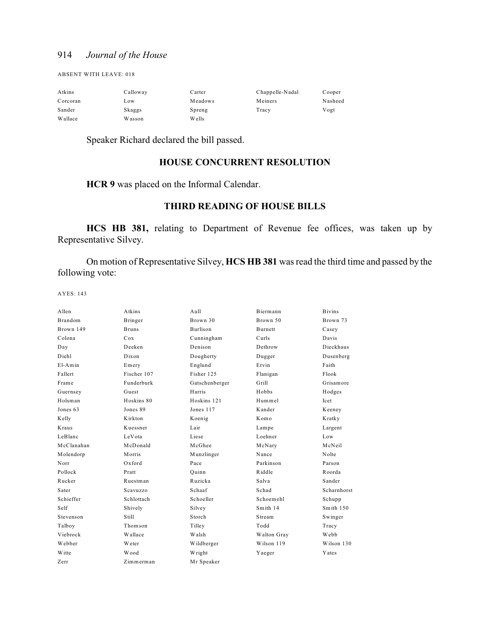ABSENT WITH LEAVE: 018

| Atkins   | Calloway | Carter  | Chappelle-Nadal | Cooper  |
|----------|----------|---------|-----------------|---------|
| Corcoran | Low      | Meadows | Meiners         | Nasheed |
| Sander   | Skaggs   | Spreng  | Tracy           | Vogt    |
| Wallace  | Wasson   | W ells  |                 |         |

Speaker Richard declared the bill passed.

# **HOUSE CONCURRENT RESOLUTION**

**HCR 9** was placed on the Informal Calendar.

## **THIRD READING OF HOUSE BILLS**

**HCS HB 381,** relating to Department of Revenue fee offices, was taken up by Representative Silvey.

On motion of Representative Silvey, **HCS HB 381** was read the third time and passed by the following vote:

| Allen          | Atkins       | $A$ ull         | Biermann    | <b>Bivins</b> |
|----------------|--------------|-----------------|-------------|---------------|
| <b>Brandom</b> | Bringer      | Brown 30        | Brown 50    | Brown 73      |
| Brown 149      | <b>Bruns</b> | <b>Burlison</b> | Burnett     | Casey         |
| Colona         | Cox          | Cunningham      | Curls       | Davis         |
| Day            | Deeken       | Denison         | Dethrow     | Dieckhaus     |
| Diehl          | Dixon        | Dougherty       | Dugger      | Dusenberg     |
| $E1-Amin$      | Emery        | Englund         | Ervin       | Faith         |
| Fallert        | Fischer 107  | Fisher 125      | Flanigan    | Flook         |
| Frame          | Funderburk   | Gatschenberger  | Grill       | Grisamore     |
| Guernsey       | Guest        | Harris          | Hobbs       | Hodges        |
| Holsman        | Hoskins 80   | Hoskins 121     | Hummel      | Icet          |
| Jones 63       | Jones 89     | Jones 117       | Kander      | Keeney        |
| Kelly          | Kirkton      | Koenig          | Komo        | Kratky        |
| Kraus          | Kuessner     | Lair            | Lampe       | Largent       |
| LeBlanc        | LeVota       | Liese           | Loehner     | Low           |
| McClanahan     | McDonald     | McGhee          | McNary      | McNeil        |
| Molendorp      | Morris       | Munzlinger      | Nance       | Nolte         |
| Norr           | $Ox$ ford    | Pace            | Parkinson   | Parson        |
| Pollock        | Pratt        | Ouinn           | Riddle      | Roorda        |
| Rucker         | Ruestman     | Ruzicka         | Salva       | Sander        |
| Sater          | Scavuzzo     | Schaaf          | Schad       | Scharnhorst   |
| Schieffer      | Schlottach   | Schoeller       | Schoemehl   | Schupp        |
| Self           | Shively      | Silvey          | Smith 14    | Smith 150     |
| Stevenson      | Still        | Storch          | Stream      | Swinger       |
| Talboy         | Thomson      | Tilley          | Todd        | Tracy         |
| Viebrock       | Wallace      | Walsh           | Walton Gray | Webb          |
| Webber         | Weter        | Wildberger      | Wilson 119  | Wilson 130    |
| <b>W</b> itte  | Wood         | Wright          | Yaeger      | Yates         |
| Zerr           | Zimmerman    | Mr Speaker      |             |               |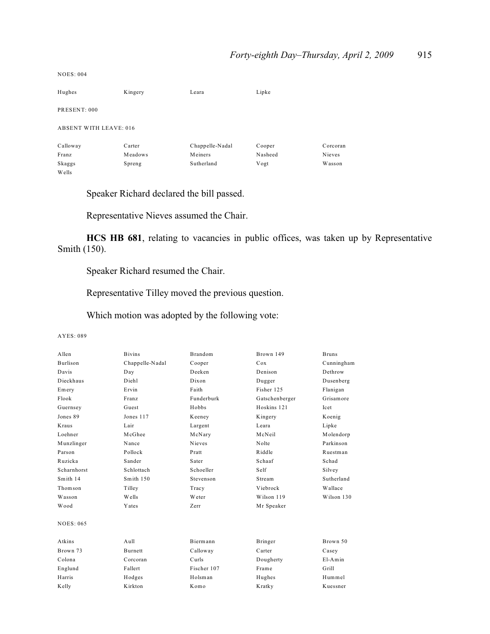| Hughes                        | Kingery | Leara           | Lipke   |          |
|-------------------------------|---------|-----------------|---------|----------|
| PRESENT: 000                  |         |                 |         |          |
| <b>ABSENT WITH LEAVE: 016</b> |         |                 |         |          |
| Calloway                      | Carter  | Chappelle-Nadal | Cooper  | Corcoran |
| Franz                         | Meadows | Meiners         | Nasheed | Nieves   |
| Skaggs                        | Spreng  | Sutherland      | Vogt    | Wasson   |
| Wells                         |         |                 |         |          |

Speaker Richard declared the bill passed.

Representative Nieves assumed the Chair.

**HCS HB 681**, relating to vacancies in public offices, was taken up by Representative Smith (150).

Speaker Richard resumed the Chair.

Representative Tilley moved the previous question.

Which motion was adopted by the following vote:

AYES: 089

NOES: 004

| Allen            | <b>Bivins</b>   | <b>Brandom</b> | Brown 149      | <b>Bruns</b> |
|------------------|-----------------|----------------|----------------|--------------|
| <b>Burlison</b>  | Chappelle-Nadal | Cooper         | Cox            | Cunningham   |
| Davis            | Day             | Deeken         | Denison        | Dethrow      |
| Dieckhaus        | Diehl           | Dixon          | Dugger         | Dusenberg    |
| Emery            | Ervin           | Faith          | Fisher 125     | Flanigan     |
| Flook            | Franz           | Funderburk     | Gatschenberger | Grisamore    |
| Guernsey         | Guest           | Hobbs          | Hoskins 121    | Icet         |
| Jones 89         | Jones 117       | Keeney         | Kingery        | Koenig       |
| Kraus            | Lair            | Largent        | Leara          | Lipke        |
| Loehner          | McGhee          | McNary         | McNeil         | Molendorp    |
| Munzlinger       | Nance           | <b>Nieves</b>  | Nolte          | Parkinson    |
| Parson           | Pollock         | Pratt          | Riddle         | Ruestman     |
| Ruzicka          | Sander          | Sater          | Schaaf         | Schad        |
| Scharnhorst      | Schlottach      | Schoeller      | Self           | Silvey       |
| Smith 14         | Smith 150       | Stevenson      | Stream         | Sutherland   |
| Thomson          | Tilley          | Tracy          | Viebrock       | Wallace      |
| Wasson           | Wells           | Weter          | Wilson 119     | Wilson 130   |
| Wood             | Yates           | Zerr           | Mr Speaker     |              |
| <b>NOES: 065</b> |                 |                |                |              |
| Atkins           | $A$ ull         | Biermann       | Bringer        | Brown 50     |
| Brown 73         | <b>Burnett</b>  | Calloway       | Carter         | Casey        |
| Colona           | Corcoran        | Curls          | Dougherty      | $E1-Amin$    |
| Englund          | Fallert         | Fischer 107    | Frame          | Grill        |
| Harris           | Hodges          | Holsman        | Hughes         | Hummel       |
| Kelly            | Kirkton         | Komo           | Kratky         | Kuessner     |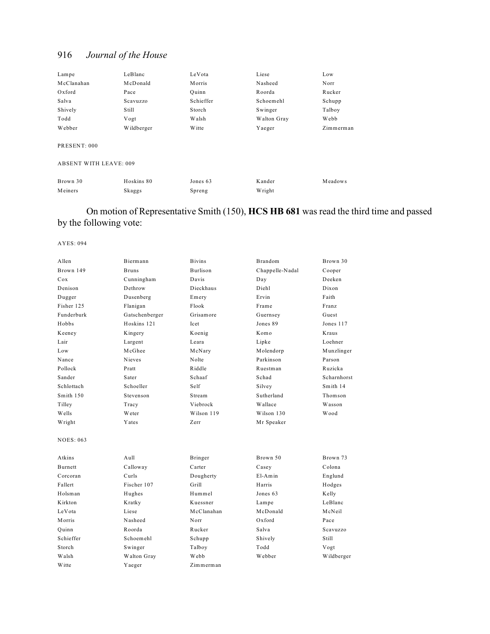| Lampe        | LeBlanc    | LeVota        | Liese       | Low       |
|--------------|------------|---------------|-------------|-----------|
| McClanahan   | McDonald   | <b>Morris</b> | Nasheed     | Norr      |
| Oxford       | Pace       | Ouinn         | Roorda      | Rucker    |
| Salva        | Scavuzzo   | Schieffer     | Schoemehl   | Schupp    |
| Shively      | Still      | Storch        | Swinger     | Talboy    |
| Todd         | Vogt       | Walsh         | Walton Gray | Webb      |
| Webber       | Wildberger | W itte        | Yaeger      | Zimmerman |
| PRESENT: 000 |            |               |             |           |

ABSENT WITH LEAVE: 009

| Brown 30 | Hoskins 80 | Jones 63 | Kander | Meadows |
|----------|------------|----------|--------|---------|
| Meiners  | Skaggs     | Spreng   | Wright |         |

## On motion of Representative Smith (150), **HCS HB 681** was read the third time and passed by the following vote:

| Allen            | Biermann       | <b>Bivins</b>   | <b>Brandom</b>  | Brown 30    |
|------------------|----------------|-----------------|-----------------|-------------|
| Brown 149        | <b>Bruns</b>   | <b>Burlison</b> | Chappelle-Nadal | Cooper      |
| Cox              | Cunningham     | Davis           | Day             | Deeken      |
| Denison          | Dethrow        | Dieckhaus       | Diehl           | Dixon       |
| Dugger           | Dusenberg      | Emery           | Ervin           | Faith       |
| Fisher 125       | Flanigan       | Flook           | Frame           | Franz       |
| Funderburk       | Gatschenberger | Grisamore       | Guernsey        | Guest       |
| Hobbs            | Hoskins 121    | Icet            | Jones 89        | Jones 117   |
| Keeney           | Kingery        | Koenig          | Komo            | Kraus       |
| Lair             | Largent        | Leara           | Lipke           | Loehner     |
| Low              | McGhee         | McNary          | Molendorp       | Munzlinger  |
| Nance            | <b>Nieves</b>  | Nolte           | Parkinson       | Parson      |
| Pollock          | Pratt          | Riddle          | Ruestman        | Ruzicka     |
| Sander           | Sater          | Schaaf          | Schad           | Scharnhorst |
| Schlottach       | Schoeller      | Self            | Silvey          | Smith 14    |
| Smith 150        | Stevenson      | Stream          | Sutherland      | Thomson     |
| Tilley           | Tracy          | Viebrock        | Wallace         | Wasson      |
| Wells            | Weter          | Wilson 119      | Wilson 130      | Wood        |
| Wright           | Yates          | Zerr            | Mr Speaker      |             |
| <b>NOES: 063</b> |                |                 |                 |             |
| Atkins           | Aull           | Bringer         | Brown 50        | Brown 73    |
| <b>Burnett</b>   | Calloway       | Carter          | Casey           | Colona      |
| Corcoran         | Curls          | Dougherty       | $E1-Amin$       | Englund     |
| Fallert          | Fischer 107    | Grill           | Harris          | Hodges      |
| Holsman          | Hughes         | Hummel          | Jones 63        | Kelly       |
| Kirkton          | Kratky         | Kuessner        | Lampe           | LeBlanc     |
| LeVota           | Liese          | McClanahan      | McDonald        | McNeil      |
| Morris           | Nasheed        | Norr            | $Ox$ ford       | Pace        |
| Quinn            | Roorda         | Rucker          | Salva           | Scavuzzo    |
| Schieffer        | Schoemehl      | Schupp          | Shively         | Still       |
| Storch           | Swinger        | Talboy          | Todd            | Vogt        |
| Walsh            | Walton Gray    | Webb            | Webber          | Wildberger  |
| <b>Witte</b>     | Yaeger         | Zimmerman       |                 |             |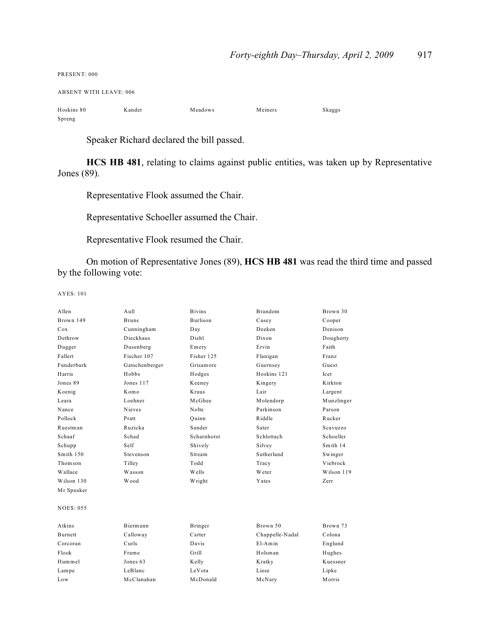| PRESENT: 000                  |        |         |         |        |
|-------------------------------|--------|---------|---------|--------|
| <b>ABSENT WITH LEAVE: 006</b> |        |         |         |        |
| Hoskins 80                    | Kander | Meadows | Meiners | Skaggs |
| Spreng                        |        |         |         |        |

Speaker Richard declared the bill passed.

**HCS HB 481**, relating to claims against public entities, was taken up by Representative Jones (89).

Representative Flook assumed the Chair.

Representative Schoeller assumed the Chair.

Representative Flook resumed the Chair.

On motion of Representative Jones (89), **HCS HB 481** was read the third time and passed by the following vote:

| Allen            | A <sub>u</sub> 11 | <b>B</b> ivins  | Brandom         | Brown 30   |
|------------------|-------------------|-----------------|-----------------|------------|
| Brown 149        | <b>Bruns</b>      | <b>Burlison</b> | Casey           | Cooper     |
| Cox              | Cunningham        | Day             | Deeken          | Denison    |
| Dethrow          | Dieckhaus         | Diehl           | Dixon           | Dougherty  |
| Dugger           | Dusenberg         | Emery           | Ervin           | Faith      |
| Fallert          | Fischer 107       | Fisher 125      | Flanigan        | Franz      |
| Funderburk       | Gatschenberger    | Grisamore       | Guernsey        | Guest      |
| Harris           | Hobbs             | Hodges          | Hoskins 121     | Icet       |
| Jones 89         | Jones 117         | Keeney          | Kingery         | Kirkton    |
| Koenig           | Komo              | Kraus           | Lair            | Largent    |
| Leara            | Loehner           | McGhee          | Molendorp       | Munzlinger |
| Nance            | <b>Nieves</b>     | Nolte           | Parkinson       | Parson     |
| Pollock          | Pratt             | Ouinn           | Riddle          | Rucker     |
| Ruestman         | Ruzicka           | Sander          | Sater           | Scavuzzo   |
| Schaaf           | Schad             | Scharnhorst     | Schlottach      | Schoeller  |
| Schupp           | Self              | Shively         | Silvey          | Smith 14   |
| Smith 150        | Stevenson         | Stream          | Sutherland      | Swinger    |
| Thomson          | Tilley            | Todd            | Tracy           | Viebrock   |
| Wallace          | Wasson            | Wells           | Weter           | Wilson 119 |
| Wilson 130       | Wood              | Wright          | Yates           | Zerr       |
| Mr Speaker       |                   |                 |                 |            |
| <b>NOES: 055</b> |                   |                 |                 |            |
| Atkins           | Biermann          | Bringer         | Brown 50        | Brown 73   |
| <b>Burnett</b>   | Calloway          | Carter          | Chappelle-Nadal | Colona     |
| Corcoran         | Curls             | Davis           | $E1-Amin$       | Englund    |
| Flook            | Frame             | Grill           | Holsman         | Hughes     |
| Hummel           | Jones 63          | Kelly           | Kratky          | Kuessner   |
| Lampe            | LeBlanc           | LeVota          | Liese           | Lipke      |
| Low              | McClanahan        | McDonald        | McNary          | Morris     |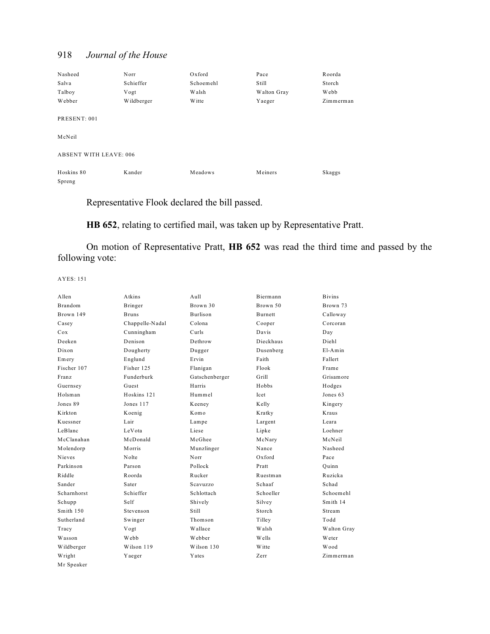| Nasheed                       | Norr       | Oxford        | Pace        | Roorda    |
|-------------------------------|------------|---------------|-------------|-----------|
| Salva                         | Schieffer  | Schoemehl     | Still       | Storch    |
| Talboy                        | Vogt       | Walsh         | Walton Gray | Webb      |
| Webber                        | Wildberger | <b>W</b> itte | Yaeger      | Zimmerman |
| PRESENT: 001                  |            |               |             |           |
| McNeil                        |            |               |             |           |
| <b>ABSENT WITH LEAVE: 006</b> |            |               |             |           |
| Hoskins 80                    | Kander     | Meadows       | Meiners     | Skaggs    |
| Spreng                        |            |               |             |           |

Representative Flook declared the bill passed.

**HB 652**, relating to certified mail, was taken up by Representative Pratt.

On motion of Representative Pratt, **HB 652** was read the third time and passed by the following vote:

| A llen         | Atkins          | $A$ ull        | <b>Biermann</b> | <b>Bivins</b> |
|----------------|-----------------|----------------|-----------------|---------------|
| <b>Brandom</b> | Bringer         | Brown 30       | Brown 50        | Brown 73      |
| Brown 149      | <b>Bruns</b>    | Burlison       | Burnett         | Calloway      |
| Casey          | Chappelle-Nadal | Colona         | Cooper          | Corcoran      |
| Cox            | Cunningham      | Curls          | Davis           | Day           |
| Deeken         | Denison         | Dethrow        | Dieckhaus       | Diehl         |
| Dixon          | Dougherty       | Dugger         | Dusenberg       | $E1-Amin$     |
| Emery          | Englund         | Ervin          | Faith           | Fallert       |
| Fischer 107    | Fisher 125      | Flanigan       | Flook           | Frame         |
| Franz          | Funderburk      | Gatschenberger | Grill           | Grisamore     |
| Guernsey       | Guest           | Harris         | Hobbs           | Hodges        |
| Holsman        | Hoskins 121     | Hummel         | <b>Icet</b>     | Jones 63      |
| Jones 89       | Jones 117       | Keeney         | Kelly           | Kingery       |
| K irkton       | Koenig          | Komo           | Kratky          | Kraus         |
| Kuessner       | Lair            | Lampe          | Largent         | Leara         |
| LeBlanc        | LeVota          | Liese          | Lipke           | Loehner       |
| McClanahan     | McDonald        | McGhee         | McNary          | McNeil        |
| Molendorp      | Morris          | Munzlinger     | Nance           | Nasheed       |
| <b>Nieves</b>  | Nolte           | Norr           | Oxford          | Pace          |
| Parkinson      | Parson          | Pollock        | Pratt           | Ouinn         |
| Riddle         | Roorda          | Rucker         | Ruestman        | Ruzicka       |
| Sander         | Sater           | Scavuzzo       | Schaaf          | Schad         |
| Scharnhorst    | Schieffer       | Schlottach     | Schoeller       | Schoemehl     |
| Schupp         | Self            | Shively        | Silvey          | Smith 14      |
| Smith 150      | Stevenson       | Still          | Storch          | Stream        |
| Sutherland     | Swinger         | Thomson        | Tilley          | Todd          |
| Tracy          | Vogt            | Wallace        | Walsh           | Walton Gray   |
| Wasson         | Webb            | Webber         | Wells           | Weter         |
| Wildberger     | Wilson 119      | Wilson 130     | <b>W</b> itte   | Wood          |
| Wright         | Yaeger          | Yates          | Zerr            | Zimmerman     |
| Mr Speaker     |                 |                |                 |               |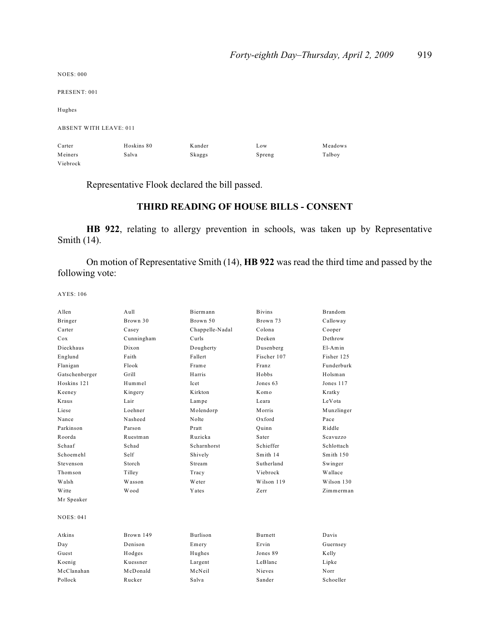| <b>NOES: 000</b>              |            |        |        |         |
|-------------------------------|------------|--------|--------|---------|
| PRESENT: 001                  |            |        |        |         |
| Hughes                        |            |        |        |         |
| <b>ABSENT WITH LEAVE: 011</b> |            |        |        |         |
| Carter                        | Hoskins 80 | Kander | Low    | Meadows |
| Meiners                       | Salva      | Skaggs | Spreng | Talboy  |
| Viebrock                      |            |        |        |         |

Representative Flook declared the bill passed.

# **THIRD READING OF HOUSE BILLS - CONSENT**

**HB 922**, relating to allergy prevention in schools, was taken up by Representative Smith (14).

On motion of Representative Smith (14), **HB 922** was read the third time and passed by the following vote:

| Allen          | Aull       | Biermann        | <b>Bivins</b>  | Brandom        |
|----------------|------------|-----------------|----------------|----------------|
| Bringer        | Brown 30   | Brown 50        | Brown 73       | Calloway       |
| Carter         | Casey      | Chappelle-Nadal | Colona         | Cooper         |
| Cox            | Cunningham | Curls           | Deeken         | Dethrow        |
| Dieckhaus      | Dixon      | Dougherty       | Dusenberg      | $E1-Amin$      |
| Englund        | Faith      | Fallert         | Fischer 107    | Fisher 125     |
| Flanigan       | Flook      | Frame           | Franz          | Funderburk     |
| Gatschenberger | Grill      | Harris          | Hobbs          | Holsman        |
| Hoskins 121    | Hummel     | <b>Icet</b>     | Jones 63       | Jones 117      |
| Keeney         | Kingery    | K irkton        | Komo           | Kratky         |
| Kraus          | Lair       | Lampe           | Leara          | LeVota         |
| Liese          | Loehner    | Molendorp       | Morris         | Munzlinger     |
| Nance          | Nasheed    | Nolte           | Oxford         | Pace           |
| Parkinson      | Parson     | Pratt           | Quinn          | Riddle         |
| Roorda         | Ruestman   | Ruzicka         | Sater          | Scavuzzo       |
| Schaaf         | Schad      | Scharnhorst     | Schieffer      | Schlottach     |
| Schoemehl      | Self       | Shively         | Smith 14       | Smith $150$    |
| Stevenson      | Storch     | Stream          | Sutherland     | Swinger        |
| Thomson        | Tilley     | Tracy           | Viebrock       | <b>Wallace</b> |
| Walsh          | Wasson     | Weter           | Wilson 119     | Wilson 130     |
| Witte          | Wood       | Yates           | Zerr           | Zimmerman      |
| Mr Speaker     |            |                 |                |                |
| NOES: 041      |            |                 |                |                |
| Atkins         | Brown 149  | <b>Burlison</b> | <b>Burnett</b> | Davis          |
| Day            | Denison    | Emery           | Ervin          | Guernsey       |
| Guest          | Hodges     | Hughes          | Jones 89       | Kelly          |
| Koenig         | Kuessner   | Largent         | LeBlanc        | Lipke          |
| McClanahan     | McDonald   | McNeil          | Nieves         | Norr           |
| Pollock        | Rucker     | Salva           | Sander         | Schoeller      |
|                |            |                 |                |                |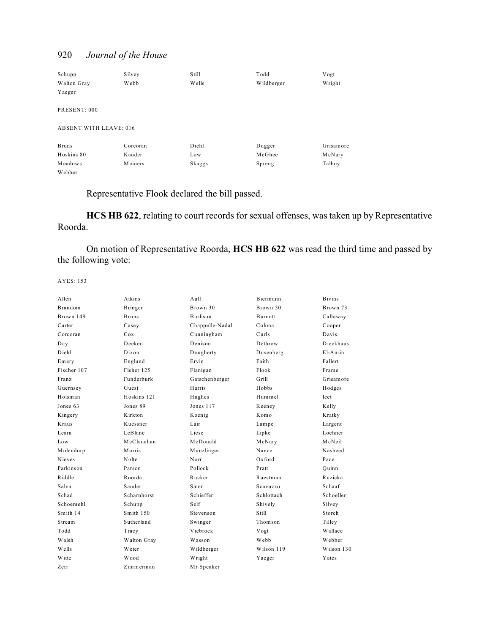| Schupp                        | Silvey   | Still  | Todd       | Vogt      |
|-------------------------------|----------|--------|------------|-----------|
| Walton Gray                   | Webb     | W ells | Wildberger | Wright    |
| Yaeger                        |          |        |            |           |
| PRESENT: 000                  |          |        |            |           |
| <b>ABSENT WITH LEAVE: 016</b> |          |        |            |           |
| <b>Bruns</b>                  | Corcoran | Diehl  | Dugger     | Grisamore |
| Hoskins 80                    | Kander   | Low    | McGhee     | McNary    |
| Meadows                       | Meiners  | Skaggs | Spreng     | Talboy    |
| Webber                        |          |        |            |           |

Representative Flook declared the bill passed.

**HCS HB 622**, relating to court records for sexual offenses, was taken up by Representative Roorda.

On motion of Representative Roorda, **HCS HB 622** was read the third time and passed by the following vote:

| A llen         | Atkins       | A <sub>u</sub> 11 | Biermann   | <b>Bivins</b> |
|----------------|--------------|-------------------|------------|---------------|
| <b>Brandom</b> | Bringer      | Brown 30          | Brown 50   | Brown 73      |
| Brown 149      | <b>Bruns</b> | Burlison          | Burnett    | Calloway      |
| Carter         | Casey        | Chappelle-Nadal   | Colona     | Cooper        |
| Corcoran       | Cox          | Cunningham        | Curls      | Davis         |
| Day            | Deeken       | Denison           | Dethrow    | Dieckhaus     |
| Diehl          | Dixon        | Dougherty         | Dusenberg  | $E1-Amin$     |
| Emery          | Englund      | Ervin             | Faith      | Fallert       |
| Fischer 107    | Fisher 125   | Flanigan          | Flook      | Frame         |
| Franz          | Funderburk   | Gatschenberger    | Grill      | Grisamore     |
| Guernsey       | Guest        | Harris            | Hobbs      | Hodges        |
| Holsman        | Hoskins 121  | Hughes            | Hummel     | Icet          |
| Jones 63       | Jones 89     | Jones 117         | Keeney     | Kelly         |
| Kingery        | K irkton     | Koenig            | Komo       | Kratky        |
| Kraus          | Kuessner     | Lair              | Lampe      | Largent       |
| Leara          | LeBlanc      | Liese             | Lipke      | Loehner       |
| Low            | McClanahan   | McDonald          | McNary     | McNeil        |
| Molendorp      | Morris       | Munzlinger        | Nance      | Nasheed       |
| <b>Nieves</b>  | Nolte        | Norr              | $Ox$ ford  | Pace          |
| Parkinson      | Parson       | Pollock           | Pratt      | Ouinn         |
| Riddle         | Roorda       | Rucker            | Ruestman   | Ruzicka       |
| Salva          | Sander       | Sater             | Scavuzzo   | Schaaf        |
| Schad          | Scharnhorst  | Schieffer         | Schlottach | Schoeller     |
| Schoemehl      | Schupp       | Self              | Shively    | Silvey        |
| Smith 14       | Smith 150    | Stevenson         | Still      | Storch        |
| Stream         | Sutherland   | Swinger           | Thomson    | Tilley        |
| Todd           | Tracy        | Viebrock          | Vogt       | Wallace       |
| Walsh          | Walton Gray  | Wasson            | Webb       | Webber        |
| Wells          | Weter        | Wildberger        | Wilson 119 | Wilson 130    |
| Witte          | Wood         | Wright            | Yaeger     | Yates         |
| Zerr           | Zimmerman    | Mr Speaker        |            |               |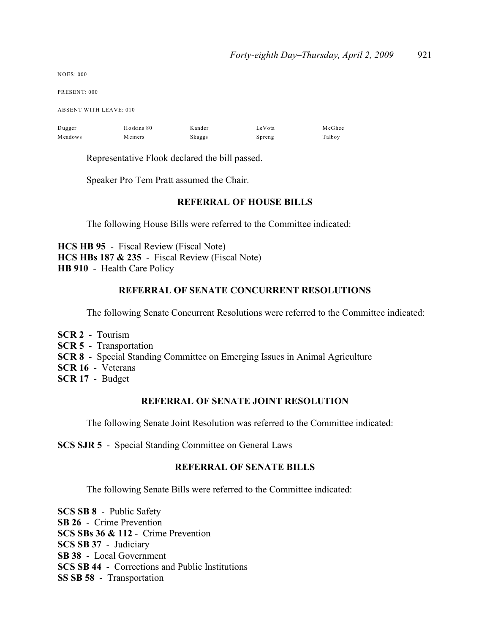| <b>NOES: 000</b>              |            |        |        |        |  |  |
|-------------------------------|------------|--------|--------|--------|--|--|
| PRESENT: 000                  |            |        |        |        |  |  |
| <b>ABSENT WITH LEAVE: 010</b> |            |        |        |        |  |  |
| Dugger                        | Hoskins 80 | Kander | LeVota | McGhee |  |  |
| Meadows                       | Meiners    | Skaggs | Spreng | Talboy |  |  |
|                               |            |        |        |        |  |  |

Representative Flook declared the bill passed.

Speaker Pro Tem Pratt assumed the Chair.

## **REFERRAL OF HOUSE BILLS**

The following House Bills were referred to the Committee indicated:

**HCS HB 95** - Fiscal Review (Fiscal Note) **HCS HBs 187 & 235** - Fiscal Review (Fiscal Note) **HB 910** - Health Care Policy

# **REFERRAL OF SENATE CONCURRENT RESOLUTIONS**

The following Senate Concurrent Resolutions were referred to the Committee indicated:

- **SCR 2** Tourism **SCR 5** - Transportation **SCR 8** - Special Standing Committee on Emerging Issues in Animal Agriculture **SCR 16** - Veterans
- **SCR 17** Budget

## **REFERRAL OF SENATE JOINT RESOLUTION**

The following Senate Joint Resolution was referred to the Committee indicated:

**SCS SJR 5** - Special Standing Committee on General Laws

## **REFERRAL OF SENATE BILLS**

The following Senate Bills were referred to the Committee indicated:

**SCS SB 8** - Public Safety **SB 26** - Crime Prevention **SCS SBs 36 & 112** - Crime Prevention **SCS SB 37** - Judiciary **SB 38** - Local Government **SCS SB 44** - Corrections and Public Institutions **SS SB 58** - Transportation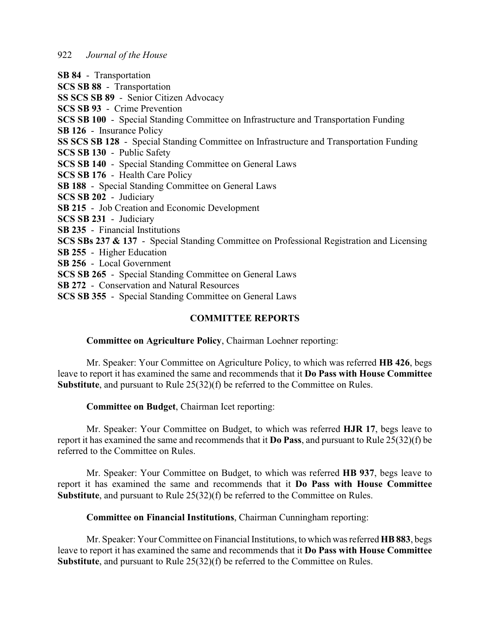**SB 84** - Transportation

**SCS SB 88** - Transportation

**SS SCS SB 89** - Senior Citizen Advocacy

**SCS SB 93** - Crime Prevention

**SCS SB 100** - Special Standing Committee on Infrastructure and Transportation Funding

**SB 126** - Insurance Policy

**SS SCS SB 128** - Special Standing Committee on Infrastructure and Transportation Funding

**SCS SB 130** - Public Safety

**SCS SB 140** - Special Standing Committee on General Laws

**SCS SB 176** - Health Care Policy

**SB 188** - Special Standing Committee on General Laws

**SCS SB 202** - Judiciary

**SB 215** - Job Creation and Economic Development

**SCS SB 231** - Judiciary

**SB 235** - Financial Institutions

**SCS SBs 237 & 137** - Special Standing Committee on Professional Registration and Licensing

**SB 255** - Higher Education

**SB 256** - Local Government

**SCS SB 265** - Special Standing Committee on General Laws

**SB 272** - Conservation and Natural Resources

**SCS SB 355** - Special Standing Committee on General Laws

## **COMMITTEE REPORTS**

## **Committee on Agriculture Policy**, Chairman Loehner reporting:

Mr. Speaker: Your Committee on Agriculture Policy, to which was referred **HB 426**, begs leave to report it has examined the same and recommends that it **Do Pass with House Committee Substitute**, and pursuant to Rule 25(32)(f) be referred to the Committee on Rules.

**Committee on Budget**, Chairman Icet reporting:

Mr. Speaker: Your Committee on Budget, to which was referred **HJR 17**, begs leave to report it has examined the same and recommends that it **Do Pass**, and pursuant to Rule 25(32)(f) be referred to the Committee on Rules.

Mr. Speaker: Your Committee on Budget, to which was referred **HB 937**, begs leave to report it has examined the same and recommends that it **Do Pass with House Committee Substitute**, and pursuant to Rule 25(32)(f) be referred to the Committee on Rules.

## **Committee on Financial Institutions**, Chairman Cunningham reporting:

Mr. Speaker: Your Committee on Financial Institutions, to which was referred **HB 883**, begs leave to report it has examined the same and recommends that it **Do Pass with House Committee Substitute**, and pursuant to Rule 25(32)(f) be referred to the Committee on Rules.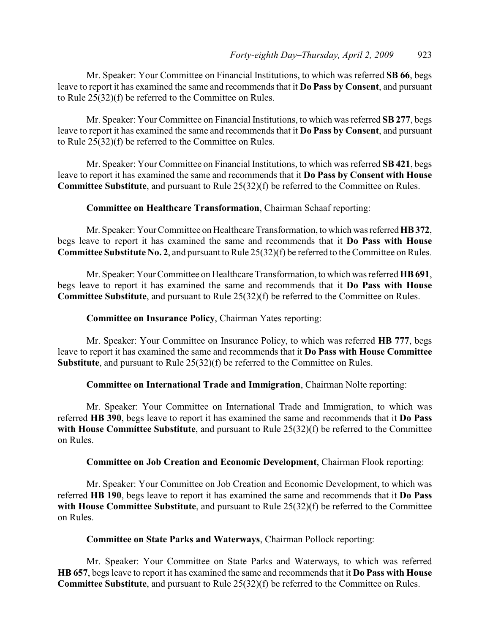Mr. Speaker: Your Committee on Financial Institutions, to which was referred **SB 66**, begs leave to report it has examined the same and recommends that it **Do Pass by Consent**, and pursuant to Rule 25(32)(f) be referred to the Committee on Rules.

Mr. Speaker: Your Committee on Financial Institutions, to which was referred **SB 277**, begs leave to report it has examined the same and recommends that it **Do Pass by Consent**, and pursuant to Rule 25(32)(f) be referred to the Committee on Rules.

Mr. Speaker: Your Committee on Financial Institutions, to which was referred **SB 421**, begs leave to report it has examined the same and recommends that it **Do Pass by Consent with House Committee Substitute**, and pursuant to Rule 25(32)(f) be referred to the Committee on Rules.

#### **Committee on Healthcare Transformation**, Chairman Schaaf reporting:

Mr. Speaker: Your Committee on Healthcare Transformation, to which was referred **HB 372**, begs leave to report it has examined the same and recommends that it **Do Pass with House Committee Substitute No. 2**, and pursuant to Rule 25(32)(f) be referred to the Committee on Rules.

Mr. Speaker: Your Committee on Healthcare Transformation, to which was referred **HB 691**, begs leave to report it has examined the same and recommends that it **Do Pass with House Committee Substitute**, and pursuant to Rule 25(32)(f) be referred to the Committee on Rules.

#### **Committee on Insurance Policy**, Chairman Yates reporting:

Mr. Speaker: Your Committee on Insurance Policy, to which was referred **HB 777**, begs leave to report it has examined the same and recommends that it **Do Pass with House Committee Substitute**, and pursuant to Rule 25(32)(f) be referred to the Committee on Rules.

#### **Committee on International Trade and Immigration**, Chairman Nolte reporting:

Mr. Speaker: Your Committee on International Trade and Immigration, to which was referred **HB 390**, begs leave to report it has examined the same and recommends that it **Do Pass with House Committee Substitute**, and pursuant to Rule 25(32)(f) be referred to the Committee on Rules.

## **Committee on Job Creation and Economic Development**, Chairman Flook reporting:

Mr. Speaker: Your Committee on Job Creation and Economic Development, to which was referred **HB 190**, begs leave to report it has examined the same and recommends that it **Do Pass with House Committee Substitute**, and pursuant to Rule 25(32)(f) be referred to the Committee on Rules.

#### **Committee on State Parks and Waterways**, Chairman Pollock reporting:

Mr. Speaker: Your Committee on State Parks and Waterways, to which was referred **HB 657**, begs leave to report it has examined the same and recommends that it **Do Pass with House Committee Substitute**, and pursuant to Rule 25(32)(f) be referred to the Committee on Rules.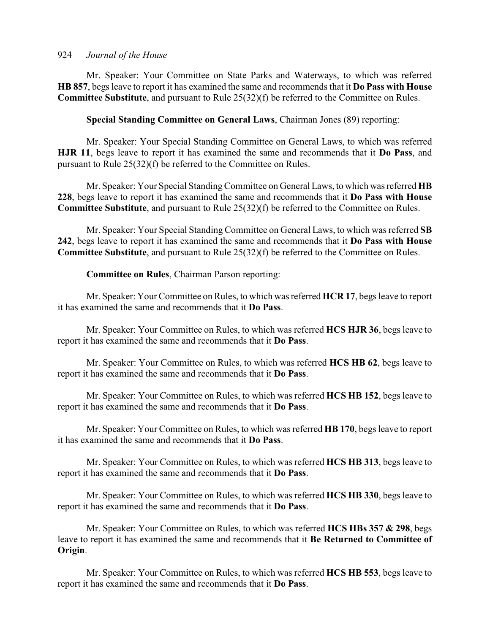Mr. Speaker: Your Committee on State Parks and Waterways, to which was referred **HB 857**, begs leave to report it has examined the same and recommends that it **Do Pass with House Committee Substitute**, and pursuant to Rule 25(32)(f) be referred to the Committee on Rules.

**Special Standing Committee on General Laws**, Chairman Jones (89) reporting:

Mr. Speaker: Your Special Standing Committee on General Laws, to which was referred **HJR 11**, begs leave to report it has examined the same and recommends that it **Do Pass**, and pursuant to Rule 25(32)(f) be referred to the Committee on Rules.

Mr. Speaker: Your Special Standing Committee on General Laws, to which was referred **HB 228**, begs leave to report it has examined the same and recommends that it **Do Pass with House Committee Substitute**, and pursuant to Rule 25(32)(f) be referred to the Committee on Rules.

Mr. Speaker: Your Special Standing Committee on General Laws, to which was referred **SB 242**, begs leave to report it has examined the same and recommends that it **Do Pass with House Committee Substitute**, and pursuant to Rule 25(32)(f) be referred to the Committee on Rules.

**Committee on Rules**, Chairman Parson reporting:

Mr. Speaker: Your Committee on Rules, to which was referred **HCR 17**, begs leave to report it has examined the same and recommends that it **Do Pass**.

Mr. Speaker: Your Committee on Rules, to which was referred **HCS HJR 36**, begs leave to report it has examined the same and recommends that it **Do Pass**.

Mr. Speaker: Your Committee on Rules, to which was referred **HCS HB 62**, begs leave to report it has examined the same and recommends that it **Do Pass**.

Mr. Speaker: Your Committee on Rules, to which was referred **HCS HB 152**, begs leave to report it has examined the same and recommends that it **Do Pass**.

Mr. Speaker: Your Committee on Rules, to which was referred **HB 170**, begs leave to report it has examined the same and recommends that it **Do Pass**.

Mr. Speaker: Your Committee on Rules, to which was referred **HCS HB 313**, begs leave to report it has examined the same and recommends that it **Do Pass**.

Mr. Speaker: Your Committee on Rules, to which was referred **HCS HB 330**, begs leave to report it has examined the same and recommends that it **Do Pass**.

Mr. Speaker: Your Committee on Rules, to which was referred **HCS HBs 357 & 298**, begs leave to report it has examined the same and recommends that it **Be Returned to Committee of Origin**.

Mr. Speaker: Your Committee on Rules, to which was referred **HCS HB 553**, begs leave to report it has examined the same and recommends that it **Do Pass**.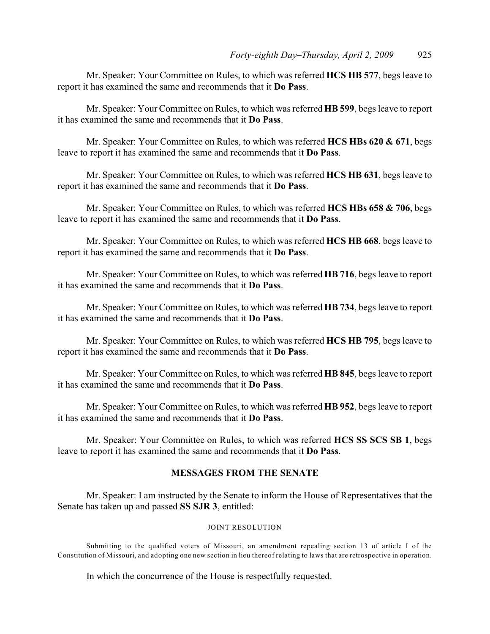Mr. Speaker: Your Committee on Rules, to which was referred **HCS HB 577**, begs leave to report it has examined the same and recommends that it **Do Pass**.

Mr. Speaker: Your Committee on Rules, to which was referred **HB 599**, begs leave to report it has examined the same and recommends that it **Do Pass**.

Mr. Speaker: Your Committee on Rules, to which was referred **HCS HBs 620 & 671**, begs leave to report it has examined the same and recommends that it **Do Pass**.

Mr. Speaker: Your Committee on Rules, to which was referred **HCS HB 631**, begs leave to report it has examined the same and recommends that it **Do Pass**.

Mr. Speaker: Your Committee on Rules, to which was referred **HCS HBs 658 & 706**, begs leave to report it has examined the same and recommends that it **Do Pass**.

Mr. Speaker: Your Committee on Rules, to which was referred **HCS HB 668**, begs leave to report it has examined the same and recommends that it **Do Pass**.

Mr. Speaker: Your Committee on Rules, to which was referred **HB 716**, begs leave to report it has examined the same and recommends that it **Do Pass**.

Mr. Speaker: Your Committee on Rules, to which was referred **HB 734**, begs leave to report it has examined the same and recommends that it **Do Pass**.

Mr. Speaker: Your Committee on Rules, to which was referred **HCS HB 795**, begs leave to report it has examined the same and recommends that it **Do Pass**.

Mr. Speaker: Your Committee on Rules, to which was referred **HB 845**, begs leave to report it has examined the same and recommends that it **Do Pass**.

Mr. Speaker: Your Committee on Rules, to which was referred **HB 952**, begs leave to report it has examined the same and recommends that it **Do Pass**.

Mr. Speaker: Your Committee on Rules, to which was referred **HCS SS SCS SB 1**, begs leave to report it has examined the same and recommends that it **Do Pass**.

## **MESSAGES FROM THE SENATE**

Mr. Speaker: I am instructed by the Senate to inform the House of Representatives that the Senate has taken up and passed **SS SJR 3**, entitled:

#### JOINT RESOLUTION

Submitting to the qualified voters of Missouri, an amendment repealing section 13 of article I of the Constitution of Missouri, and adopting one new section in lieu thereof relating to laws that are retrospective in operation.

In which the concurrence of the House is respectfully requested.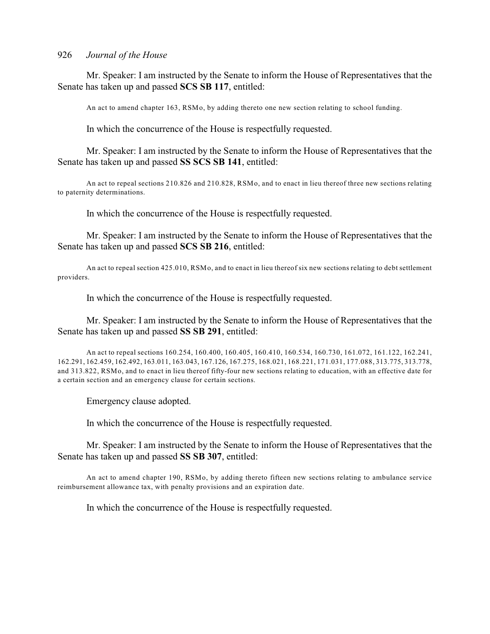Mr. Speaker: I am instructed by the Senate to inform the House of Representatives that the Senate has taken up and passed **SCS SB 117**, entitled:

An act to amend chapter 163, RSMo, by adding thereto one new section relating to school funding.

In which the concurrence of the House is respectfully requested.

Mr. Speaker: I am instructed by the Senate to inform the House of Representatives that the Senate has taken up and passed **SS SCS SB 141**, entitled:

An act to repeal sections 210.826 and 210.828, RSMo, and to enact in lieu thereof three new sections relating to paternity determinations.

In which the concurrence of the House is respectfully requested.

Mr. Speaker: I am instructed by the Senate to inform the House of Representatives that the Senate has taken up and passed **SCS SB 216**, entitled:

An act to repeal section 425.010, RSMo, and to enact in lieu thereof six new sections relating to debt settlement providers.

In which the concurrence of the House is respectfully requested.

Mr. Speaker: I am instructed by the Senate to inform the House of Representatives that the Senate has taken up and passed **SS SB 291**, entitled:

An act to repeal sections 160.254, 160.400, 160.405, 160.410, 160.534, 160.730, 161.072, 161.122, 162.241, 162.291, 162.459, 162.492, 163.011, 163.043, 167.126, 167.275, 168.021, 168.221, 171.031, 177.088, 313.775, 313.778, and 313.822, RSMo, and to enact in lieu thereof fifty-four new sections relating to education, with an effective date for a certain section and an emergency clause for certain sections.

Emergency clause adopted.

In which the concurrence of the House is respectfully requested.

Mr. Speaker: I am instructed by the Senate to inform the House of Representatives that the Senate has taken up and passed **SS SB 307**, entitled:

An act to amend chapter 190, RSMo, by adding thereto fifteen new sections relating to ambulance service reimbursement allowance tax, with penalty provisions and an expiration date.

In which the concurrence of the House is respectfully requested.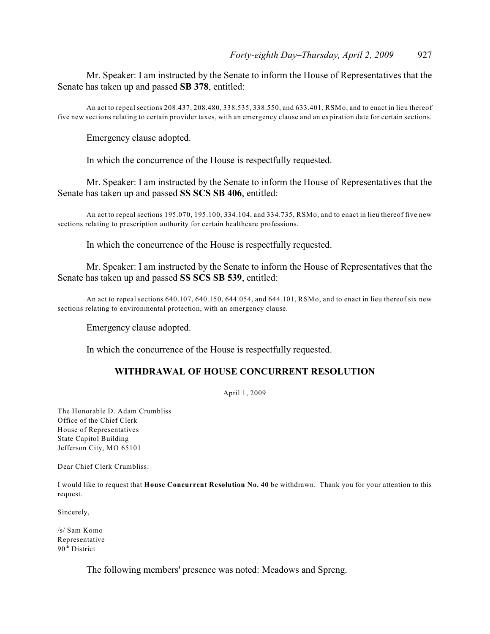Mr. Speaker: I am instructed by the Senate to inform the House of Representatives that the Senate has taken up and passed **SB 378**, entitled:

An act to repeal sections 208.437, 208.480, 338.535, 338.550, and 633.401, RSMo, and to enact in lieu thereof five new sections relating to certain provider taxes, with an emergency clause and an expiration date for certain sections.

Emergency clause adopted.

In which the concurrence of the House is respectfully requested.

Mr. Speaker: I am instructed by the Senate to inform the House of Representatives that the Senate has taken up and passed **SS SCS SB 406**, entitled:

An act to repeal sections 195.070, 195.100, 334.104, and 334.735, RSMo, and to enact in lieu thereof five new sections relating to prescription authority for certain healthcare professions.

In which the concurrence of the House is respectfully requested.

Mr. Speaker: I am instructed by the Senate to inform the House of Representatives that the Senate has taken up and passed **SS SCS SB 539**, entitled:

An act to repeal sections 640.107, 640.150, 644.054, and 644.101, RSMo, and to enact in lieu thereof six new sections relating to environmental protection, with an emergency clause.

Emergency clause adopted.

In which the concurrence of the House is respectfully requested.

## **WITHDRAWAL OF HOUSE CONCURRENT RESOLUTION**

April 1, 2009

The Honorable D. Adam Crumbliss Office of the Chief Clerk House of Representatives State Capitol Building Jefferson City, MO 65101

Dear Chief Clerk Crumbliss:

I would like to request that **House Concurrent Resolution No. 40** be withdrawn. Thank you for your attention to this request.

Sincerely,

/s/ Sam Komo Representative 90<sup>th</sup> District

The following members' presence was noted: Meadows and Spreng.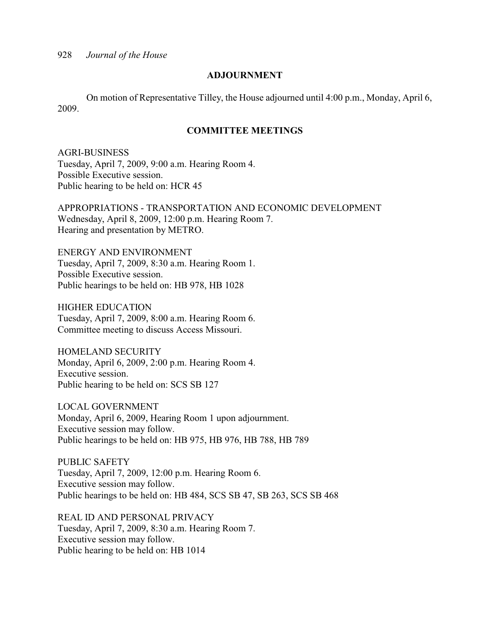#### **ADJOURNMENT**

On motion of Representative Tilley, the House adjourned until 4:00 p.m., Monday, April 6, 2009.

## **COMMITTEE MEETINGS**

AGRI-BUSINESS Tuesday, April 7, 2009, 9:00 a.m. Hearing Room 4. Possible Executive session. Public hearing to be held on: HCR 45

APPROPRIATIONS - TRANSPORTATION AND ECONOMIC DEVELOPMENT Wednesday, April 8, 2009, 12:00 p.m. Hearing Room 7. Hearing and presentation by METRO.

ENERGY AND ENVIRONMENT Tuesday, April 7, 2009, 8:30 a.m. Hearing Room 1. Possible Executive session. Public hearings to be held on: HB 978, HB 1028

HIGHER EDUCATION Tuesday, April 7, 2009, 8:00 a.m. Hearing Room 6. Committee meeting to discuss Access Missouri.

HOMELAND SECURITY Monday, April 6, 2009, 2:00 p.m. Hearing Room 4. Executive session. Public hearing to be held on: SCS SB 127

LOCAL GOVERNMENT Monday, April 6, 2009, Hearing Room 1 upon adjournment. Executive session may follow. Public hearings to be held on: HB 975, HB 976, HB 788, HB 789

PUBLIC SAFETY Tuesday, April 7, 2009, 12:00 p.m. Hearing Room 6. Executive session may follow. Public hearings to be held on: HB 484, SCS SB 47, SB 263, SCS SB 468

REAL ID AND PERSONAL PRIVACY Tuesday, April 7, 2009, 8:30 a.m. Hearing Room 7. Executive session may follow. Public hearing to be held on: HB 1014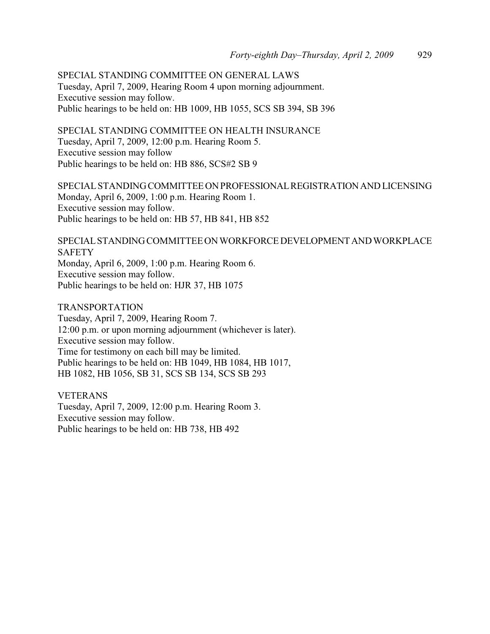SPECIAL STANDING COMMITTEE ON GENERAL LAWS Tuesday, April 7, 2009, Hearing Room 4 upon morning adjournment. Executive session may follow. Public hearings to be held on: HB 1009, HB 1055, SCS SB 394, SB 396

SPECIAL STANDING COMMITTEE ON HEALTH INSURANCE Tuesday, April 7, 2009, 12:00 p.m. Hearing Room 5. Executive session may follow Public hearings to be held on: HB 886, SCS#2 SB 9

SPECIAL STANDING COMMITTEE ON PROFESSIONAL REGISTRATION AND LICENSING Monday, April 6, 2009, 1:00 p.m. Hearing Room 1. Executive session may follow. Public hearings to be held on: HB 57, HB 841, HB 852

SPECIAL STANDING COMMITTEE ON WORKFORCE DEVELOPMENT AND WORKPLACE **SAFETY** Monday, April 6, 2009, 1:00 p.m. Hearing Room 6.

Executive session may follow. Public hearings to be held on: HJR 37, HB 1075

TRANSPORTATION

Tuesday, April 7, 2009, Hearing Room 7. 12:00 p.m. or upon morning adjournment (whichever is later). Executive session may follow. Time for testimony on each bill may be limited. Public hearings to be held on: HB 1049, HB 1084, HB 1017, HB 1082, HB 1056, SB 31, SCS SB 134, SCS SB 293

VETERANS Tuesday, April 7, 2009, 12:00 p.m. Hearing Room 3. Executive session may follow. Public hearings to be held on: HB 738, HB 492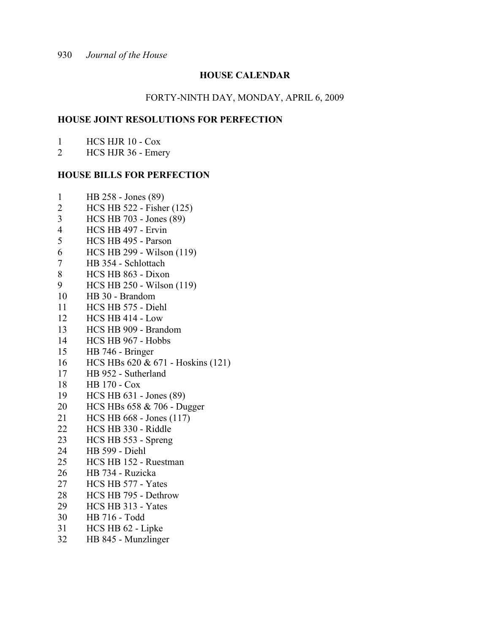# **HOUSE CALENDAR**

#### FORTY-NINTH DAY, MONDAY, APRIL 6, 2009

#### **HOUSE JOINT RESOLUTIONS FOR PERFECTION**

- HCS HJR 10 Cox
- HCS HJR 36 Emery

#### **HOUSE BILLS FOR PERFECTION**

- HB 258 Jones (89)
- HCS HB 522 Fisher (125)
- HCS HB 703 Jones (89)
- HCS HB 497 Ervin
- HCS HB 495 Parson
- HCS HB 299 Wilson (119)
- HB 354 Schlottach
- HCS HB 863 Dixon
- HCS HB 250 Wilson (119)
- HB 30 Brandom
- HCS HB 575 Diehl
- HCS HB 414 Low
- HCS HB 909 Brandom
- HCS HB 967 Hobbs
- HB 746 Bringer
- HCS HBs 620 & 671 Hoskins (121)
- HB 952 Sutherland
- HB 170 Cox
- HCS HB 631 Jones (89)
- HCS HBs 658 & 706 Dugger
- HCS HB 668 Jones (117)
- HCS HB 330 Riddle
- HCS HB 553 Spreng
- HB 599 Diehl
- HCS HB 152 Ruestman
- HB 734 Ruzicka
- HCS HB 577 Yates
- HCS HB 795 Dethrow
- HCS HB 313 Yates
- HB 716 Todd
- HCS HB 62 Lipke
- HB 845 Munzlinger